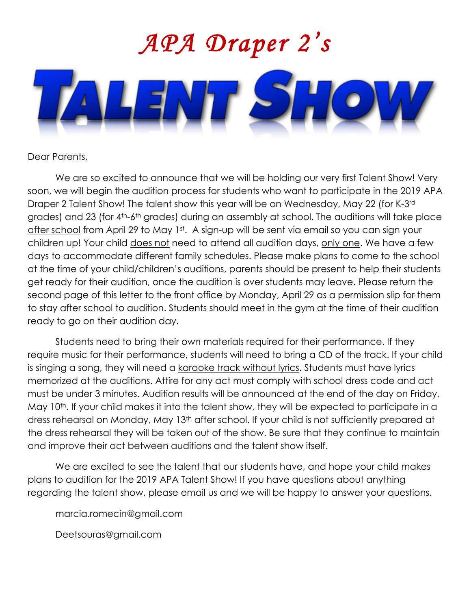

## Dear Parents,

We are so excited to announce that we will be holding our very first Talent Show! Very soon, we will begin the audition process for students who want to participate in the 2019 APA Draper 2 Talent Show! The talent show this year will be on Wednesday, May 22 (for K-3rd grades) and 23 (for 4<sup>th</sup>-6<sup>th</sup> grades) during an assembly at school. The auditions will take place after school from April 29 to May 1<sup>st</sup>. A sign-up will be sent via email so you can sign your children up! Your child does not need to attend all audition days, only one. We have a few days to accommodate different family schedules. Please make plans to come to the school at the time of your child/children's auditions, parents should be present to help their students get ready for their audition, once the audition is over students may leave. Please return the second page of this letter to the front office by Monday, April 29 as a permission slip for them to stay after school to audition. Students should meet in the gym at the time of their audition ready to go on their audition day.

Students need to bring their own materials required for their performance. If they require music for their performance, students will need to bring a CD of the track. If your child is singing a song, they will need a karaoke track without lyrics. Students must have lyrics memorized at the auditions. Attire for any act must comply with school dress code and act must be under 3 minutes. Audition results will be announced at the end of the day on Friday, May 10<sup>th</sup>. If your child makes it into the talent show, they will be expected to participate in a dress rehearsal on Monday, May 13<sup>th</sup> after school. If your child is not sufficiently prepared at the dress rehearsal they will be taken out of the show. Be sure that they continue to maintain and improve their act between auditions and the talent show itself.

We are excited to see the talent that our students have, and hope your child makes plans to audition for the 2019 APA Talent Show! If you have questions about anything regarding the talent show, please email us and we will be happy to answer your questions.

marcia.romecin@gmail.com

Deetsouras@gmail.com